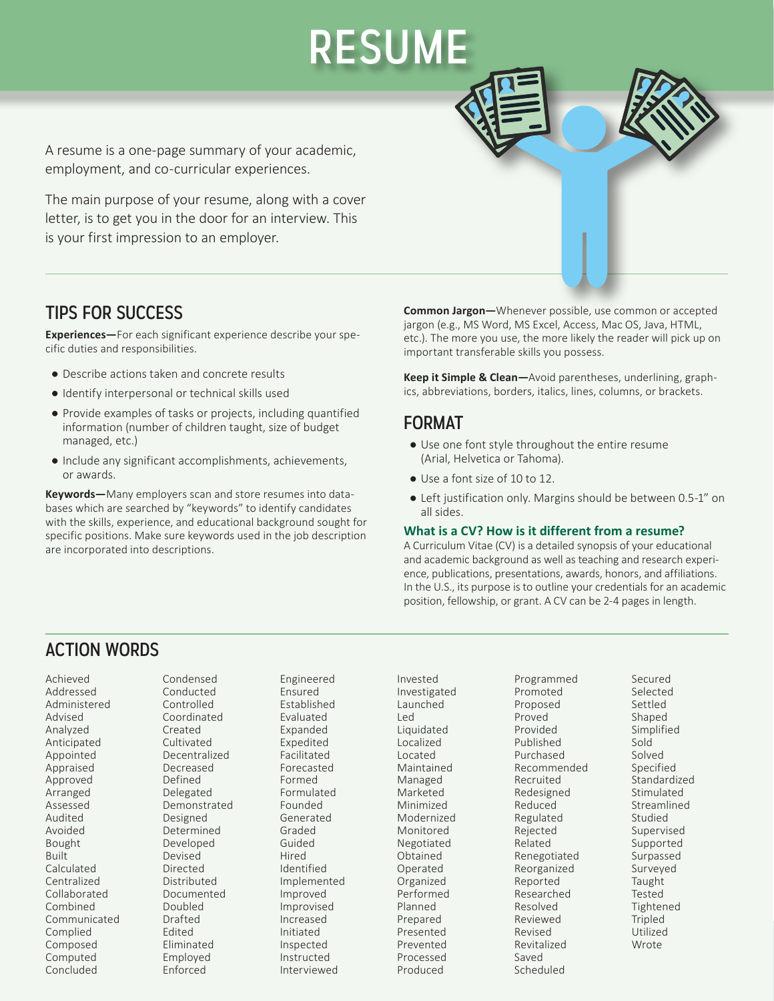A resume is a one-page summary of your academic, employment, and co-curricular experiences.

The main purpose of your resume, along with a cover letter, is to get you in the door for an interview. This is your first impression to an employer.

## TIPS FOR SUCCESS

**Experiences—**For each significant experience describe your specific duties and responsibilities.

- ● Describe actions taken and concrete results
- ● Identify interpersonal or technical skills used
- Provide examples of tasks or projects, including quantified information (number of children taught, size of budget managed, etc.)
- ● Include any significant accomplishments, achievements, or awards.

**Keywords—**Many employers scan and store resumes into databases which are searched by "keywords" to identify candidates with the skills, experience, and educational background sought for specific positions. Make sure keywords used in the job description are incorporated into descriptions.

**Common Jargon—**Whenever possible, use common or accepted jargon (e.g., MS Word, MS Excel, Access, Mac OS, Java, HTML, etc.). The more you use, the more likely the reader will pick up on important transferable skills you possess.

**Keep it Simple & Clean—**Avoid parentheses, underlining, graphics, abbreviations, borders, italics, lines, columns, or brackets.

#### FORMAT

RESUME

- ● Use one font style throughout the entire resume (Arial, Helvetica or Tahoma).
- Use a font size of 10 to 12.
- Left justification only. Margins should be between 0.5-1" on all sides.

#### **What is a CV? How is it different from a resume?**

A Curriculum Vitae (CV) is a detailed synopsis of your educational and academic background as well as teaching and research experience, publications, presentations, awards, honors, and affiliations. In the U.S., its purpose is to outline your credentials for an academic position, fellowship, or grant. A CV can be 2-4 pages in length.

## ACTION WORDS

Achieved Addressed Administered Advised Analyzed Anticipated Appointed Appraised Approved Arranged Assessed Audited Avoided Bought Built Calculated Centralized Collaborated Combined Communicated Complied Composed Computed Concluded

Condensed Conducted Controlled Coordinated Created Cultivated Decentralized Decreased Defined Delegated Demonstrated Designed Determined Developed Devised Directed Distributed Documented Doubled Drafted Edited Eliminated Employed Enforced

Engineered Ensured Established Evaluated Expanded Expedited Facilitated Forecasted Formed Formulated Founded Generated Graded Guided Hired Identified Implemented Improved Improvised Increased Initiated Inspected Instructed Interviewed

Prevented<br>P Processed<br>Produced career career career career career career career career career career career career career career career career<br>Except career career career career career career career career career career career career career career care Invested Investigated Launched Led Liquidated Localized Located Maintained Managed Marketed Minimized Modernized Monitored Negotiated Obtained Operated Organized Performed Planned Prepared Presented Produced

Programmed Promoted Proposed Proved Provided Published Purchased Recommended Recruited Redesigned Reduced Regulated Rejected Related Renegotiated Reorganized Reported Researched Resolved Reviewed Revised Revitalized Saved Scheduled

**Example 3 WALK-IN WALK-IN MOVE** Secured Selected Settled Shaped Simplified Sold Solved Specified Standardized Stimulated Streamlined Studied Supervised Supported Surpassed Surveyed Taught Tested Tightened Tripled Utilized Wrote